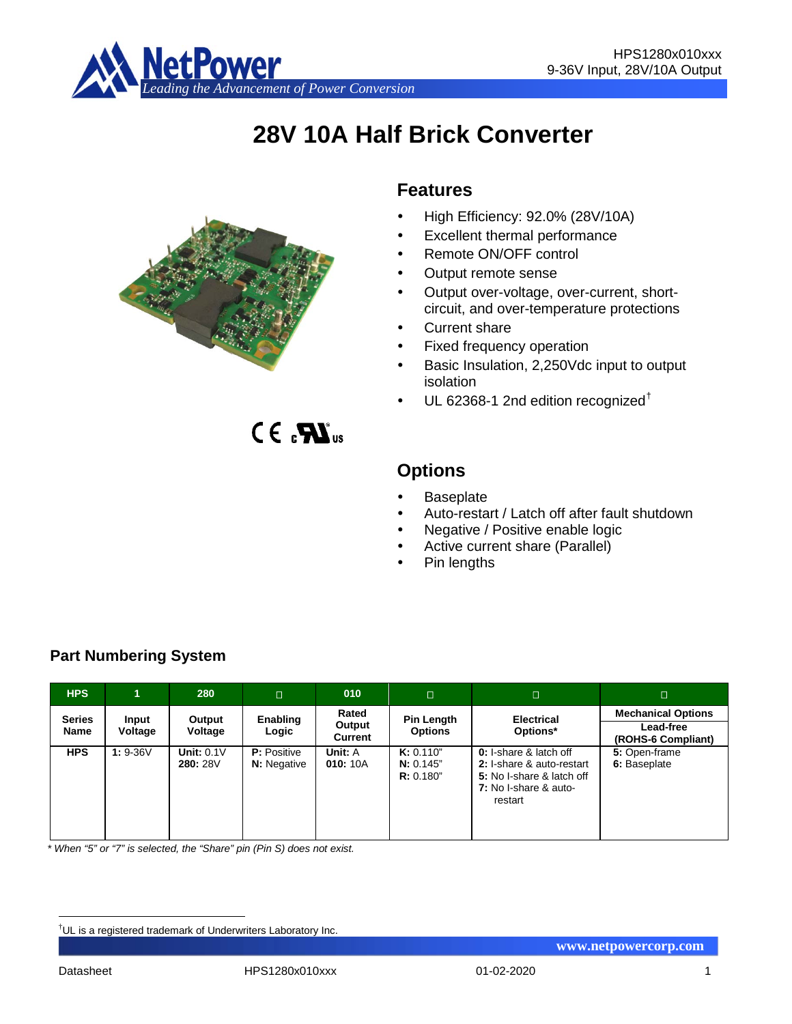

# **28V 10A Half Brick Converter**



# **Features**

- High Efficiency: 92.0% (28V/10A)
- Excellent thermal performance
- Remote ON/OFF control
- Output remote sense
- Output over-voltage, over-current, shortcircuit, and over-temperature protections
- Current share
- Fixed frequency operation
- Basic Insulation, 2,250Vdc input to output isolation
- UL 62368-1 2nd edition recognized[†](#page-0-0)

 $C \in \mathbf{R}$ <sub>us</sub>

# **Options**

- **Baseplate**
- Auto-restart / Latch off after fault shutdown
- Negative / Positive enable logic
- Active current share (Parallel)
- Pin lengths

| <b>HPS</b>    |            | 280                      | $\Box$                                   | 010                 | $\Box$                              | п                                                                                                                           | $\Box$                          |
|---------------|------------|--------------------------|------------------------------------------|---------------------|-------------------------------------|-----------------------------------------------------------------------------------------------------------------------------|---------------------------------|
| <b>Series</b> | Input      | Output                   | <b>Enabling</b>                          | Rated<br>Output     | Pin Length                          | <b>Electrical</b>                                                                                                           | <b>Mechanical Options</b>       |
| <b>Name</b>   | Voltage    | Voltage                  | Logic                                    | Current             | <b>Options</b>                      | Options*                                                                                                                    | Lead-free<br>(ROHS-6 Compliant) |
| <b>HPS</b>    | $1: 9-36V$ | Unit: $0.1V$<br>280: 28V | <b>P:</b> Positive<br><b>N:</b> Negative | Unit: A<br>010: 10A | K: 0.110"<br>N: 0.145"<br>R: 0.180" | <b>0:</b> I-share & latch off<br>2: I-share & auto-restart<br>5: No I-share & latch off<br>7: No I-share & auto-<br>restart | 5: Open-frame<br>6: Baseplate   |

**Part Numbering System**

*\* When "5" or "7" is selected, the "Share" pin (Pin S) does not exist.*

<span id="page-0-0"></span><sup>|&</sup>lt;br>|<br>| <sup>†</sup>UL is a registered trademark of Underwriters Laboratory Inc.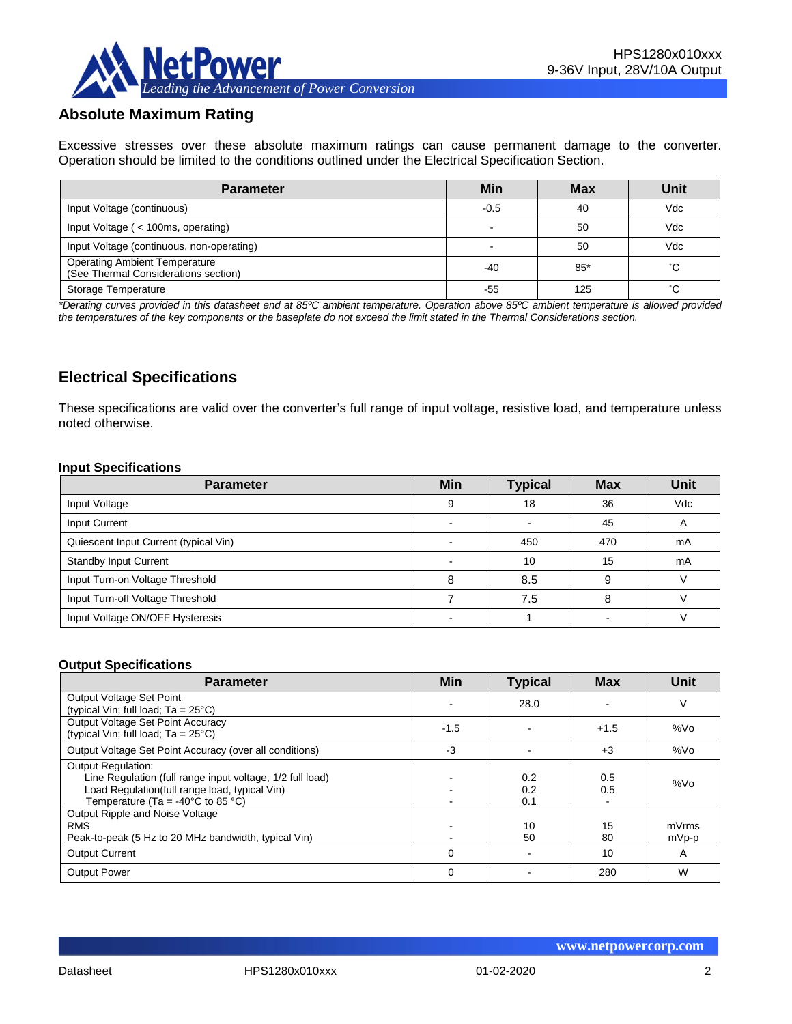

# **Absolute Maximum Rating**

Excessive stresses over these absolute maximum ratings can cause permanent damage to the converter. Operation should be limited to the conditions outlined under the Electrical Specification Section.

| <b>Parameter</b>                                                             | Min    | <b>Max</b> | Unit |
|------------------------------------------------------------------------------|--------|------------|------|
| Input Voltage (continuous)                                                   | $-0.5$ | 40         | Vdc  |
| Input Voltage (< 100ms, operating)                                           |        | 50         | Vdc  |
| Input Voltage (continuous, non-operating)                                    |        | 50         | Vdc  |
| <b>Operating Ambient Temperature</b><br>(See Thermal Considerations section) | $-40$  | $85*$      | °С   |
| Storage Temperature                                                          | -55    | 125        | °С   |

*\*Derating curves provided in this datasheet end at 85ºC ambient temperature. Operation above 85ºC ambient temperature is allowed provided the temperatures of the key components or the baseplate do not exceed the limit stated in the Thermal Considerations section.*

# **Electrical Specifications**

These specifications are valid over the converter's full range of input voltage, resistive load, and temperature unless noted otherwise.

#### **Input Specifications**

| <b>Parameter</b>                      | <b>Min</b> | <b>Typical</b> | <b>Max</b> | <b>Unit</b>              |
|---------------------------------------|------------|----------------|------------|--------------------------|
| Input Voltage                         | 9          | 18             | 36         | Vdc                      |
| Input Current                         |            |                | 45         | $\overline{\phantom{a}}$ |
| Quiescent Input Current (typical Vin) |            | 450            | 470        | mA                       |
| <b>Standby Input Current</b>          |            | 10             | 15         | mA                       |
| Input Turn-on Voltage Threshold       |            | 8.5            | 9          |                          |
| Input Turn-off Voltage Threshold      |            | 7.5            |            |                          |
| Input Voltage ON/OFF Hysteresis       |            |                |            |                          |

#### **Output Specifications**

| <b>Parameter</b>                                                                                                                                                                                  | <b>Min</b>  | <b>Typical</b>    | <b>Max</b> | Unit           |
|---------------------------------------------------------------------------------------------------------------------------------------------------------------------------------------------------|-------------|-------------------|------------|----------------|
| Output Voltage Set Point<br>(typical Vin; full load; $Ta = 25^{\circ}C$ )                                                                                                                         |             | 28.0              |            |                |
| Output Voltage Set Point Accuracy<br>(typical Vin; full load; $Ta = 25^{\circ}C$ )                                                                                                                | $-1.5$      |                   | $+1.5$     | %Vo            |
| Output Voltage Set Point Accuracy (over all conditions)                                                                                                                                           | $-3$        |                   | $+3$       | %Vo            |
| <b>Output Regulation:</b><br>Line Regulation (full range input voltage, 1/2 full load)<br>Load Regulation(full range load, typical Vin)<br>Temperature (Ta = -40 $^{\circ}$ C to 85 $^{\circ}$ C) |             | 0.2<br>0.2<br>0.1 | 0.5<br>0.5 | %Vo            |
| Output Ripple and Noise Voltage<br><b>RMS</b><br>Peak-to-peak (5 Hz to 20 MHz bandwidth, typical Vin)                                                                                             |             | 10<br>50          | 15<br>80   | mVrms<br>mVp-p |
| <b>Output Current</b>                                                                                                                                                                             | $\Omega$    |                   | 10         | $\mathsf{A}$   |
| <b>Output Power</b>                                                                                                                                                                               | $\mathbf 0$ |                   | 280        | W              |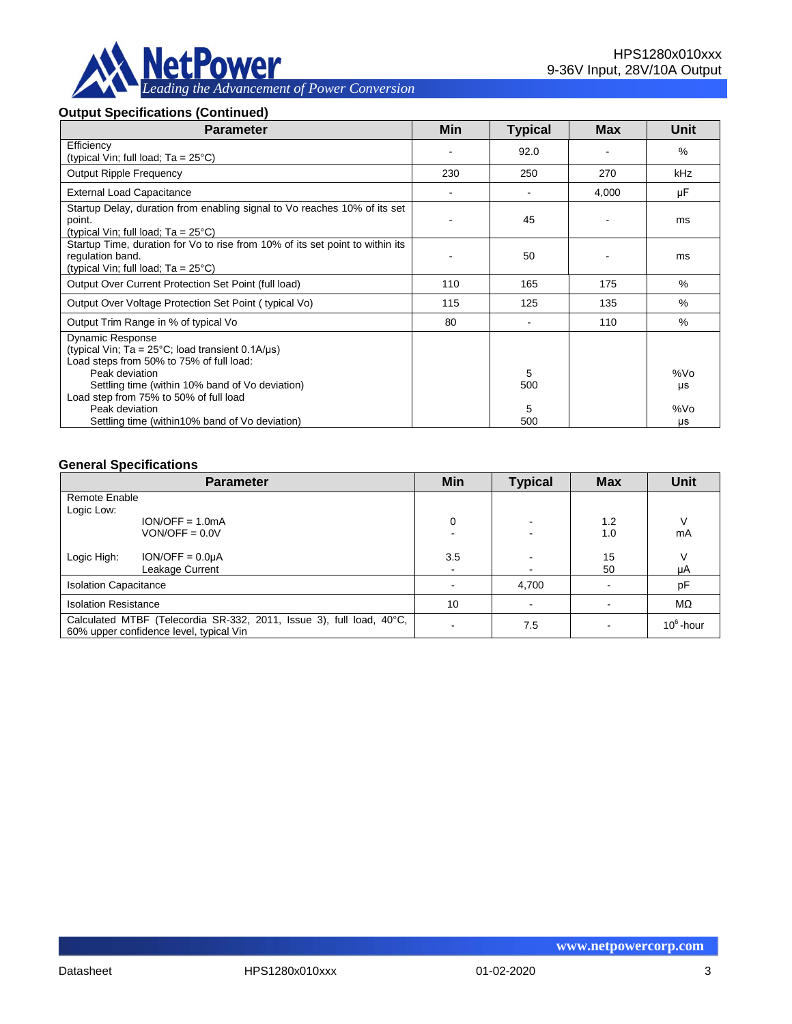

#### **Output Specifications (Continued)**

| <b>Parameter</b>                                                                                                                                                                                                                                       | <b>Min</b> | <b>Typical</b> | <b>Max</b> | <b>Unit</b> |
|--------------------------------------------------------------------------------------------------------------------------------------------------------------------------------------------------------------------------------------------------------|------------|----------------|------------|-------------|
| Efficiency<br>(typical Vin; full load; $Ta = 25^{\circ}C$ )                                                                                                                                                                                            |            | 92.0           |            | $\%$        |
| <b>Output Ripple Frequency</b>                                                                                                                                                                                                                         | 230        | 250            | 270        | kHz         |
| <b>External Load Capacitance</b>                                                                                                                                                                                                                       |            |                | 4,000      | μF          |
| Startup Delay, duration from enabling signal to Vo reaches 10% of its set<br>point.<br>(typical Vin; full load; $Ta = 25^{\circ}C$ )                                                                                                                   |            | 45             |            | ms          |
| Startup Time, duration for Vo to rise from 10% of its set point to within its<br>regulation band.<br>(typical Vin; full load; $Ta = 25^{\circ}C$ )                                                                                                     |            | 50             |            | ms          |
| Output Over Current Protection Set Point (full load)                                                                                                                                                                                                   | 110        | 165            | 175        | $\%$        |
| Output Over Voltage Protection Set Point (typical Vo)                                                                                                                                                                                                  | 115        | 125            | 135        | $\%$        |
| Output Trim Range in % of typical Vo                                                                                                                                                                                                                   | 80         |                | 110        | $\%$        |
| <b>Dynamic Response</b><br>(typical Vin; Ta = $25^{\circ}$ C; load transient 0.1A/ $\mu$ s)<br>Load steps from 50% to 75% of full load:<br>Peak deviation<br>Settling time (within 10% band of Vo deviation)<br>Load step from 75% to 50% of full load |            | 5<br>500       |            | %Vo<br>μs   |
| Peak deviation<br>Settling time (within 10% band of Vo deviation)                                                                                                                                                                                      |            | 5<br>500       |            | %Vo<br>μs   |

## **General Specifications**

|                                                                                                                 | <b>Parameter</b>  | Min | <b>Typical</b> | <b>Max</b> | <b>Unit</b>  |
|-----------------------------------------------------------------------------------------------------------------|-------------------|-----|----------------|------------|--------------|
| Remote Enable                                                                                                   |                   |     |                |            |              |
| Logic Low:                                                                                                      |                   |     |                |            |              |
|                                                                                                                 | $ION/OFF = 1.0mA$ | 0   |                | 1.2        |              |
|                                                                                                                 | $VON/OFF = 0.0V$  |     |                | 1.0        | mA           |
| Logic High:                                                                                                     | $ION/OFF = 0.0µA$ | 3.5 |                | 15         |              |
|                                                                                                                 | Leakage Current   |     |                | 50         | μA           |
| <b>Isolation Capacitance</b>                                                                                    |                   |     | 4,700          |            | pF           |
| <b>Isolation Resistance</b>                                                                                     |                   | 10  |                |            | MΩ           |
| Calculated MTBF (Telecordia SR-332, 2011, Issue 3), full load, 40°C,<br>60% upper confidence level, typical Vin |                   |     | 7.5            |            | $10^6$ -hour |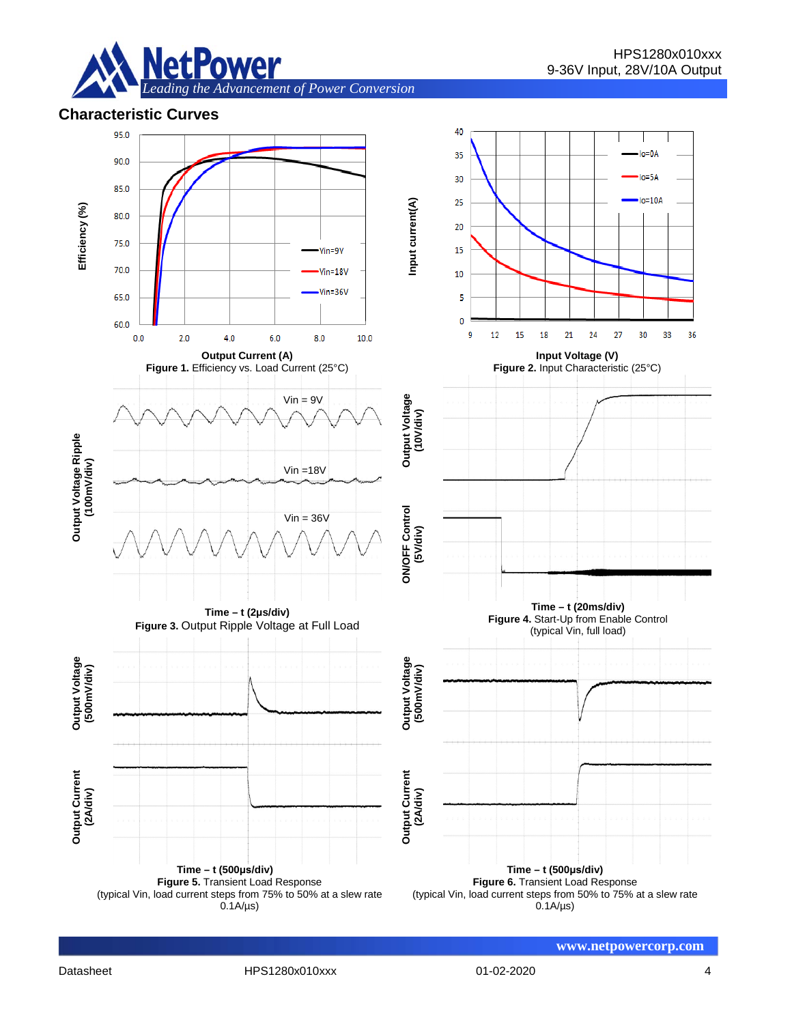

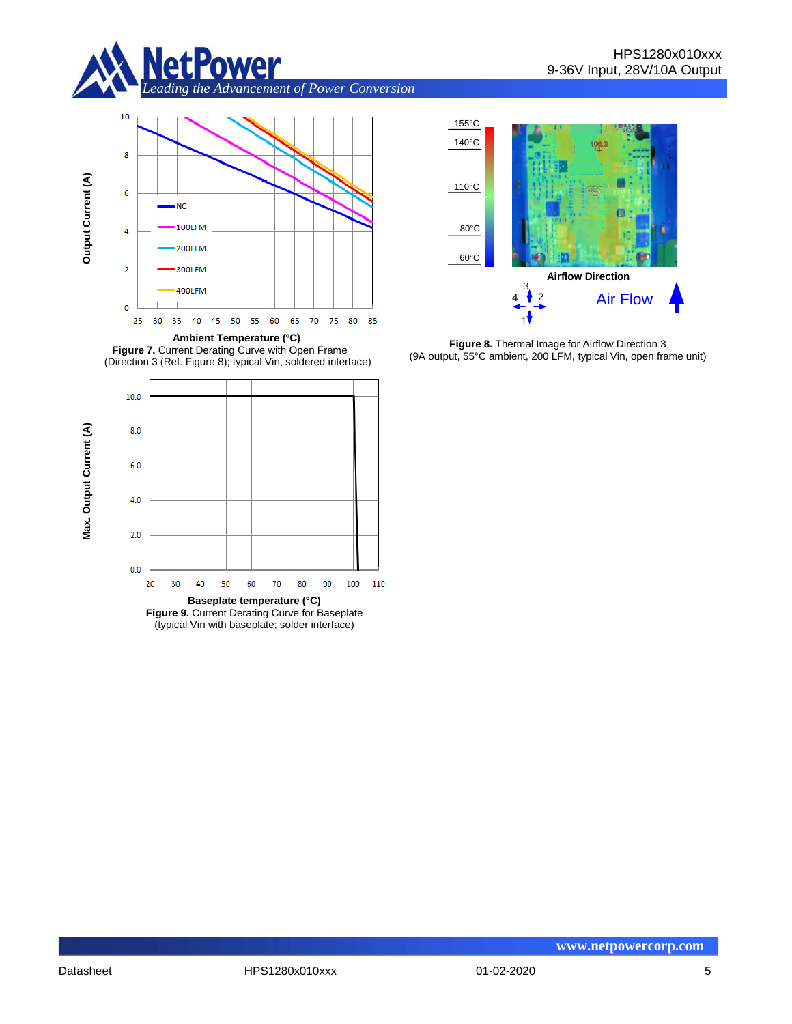



Figure 7. Current Derating Curve with Open Frame (Direction 3 (Ref. Figure 8); typical Vin, soldered interface)





**Figure 8.** Thermal Image for Airflow Direction 3 (9A output, 55°C ambient, 200 LFM, typical Vin, open frame unit)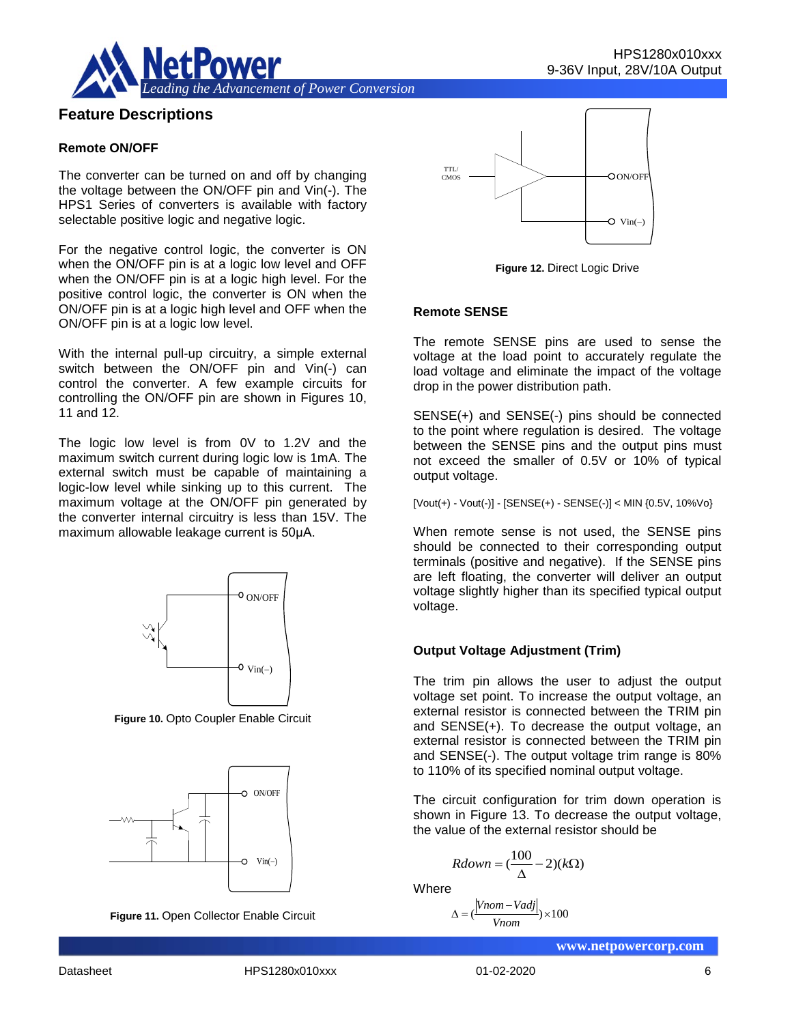

# **Feature Descriptions**

#### **Remote ON/OFF**

The converter can be turned on and off by changing the voltage between the ON/OFF pin and Vin(-). The HPS1 Series of converters is available with factory selectable positive logic and negative logic.

For the negative control logic, the converter is ON when the ON/OFF pin is at a logic low level and OFF when the ON/OFF pin is at a logic high level. For the positive control logic, the converter is ON when the ON/OFF pin is at a logic high level and OFF when the ON/OFF pin is at a logic low level.

With the internal pull-up circuitry, a simple external switch between the ON/OFF pin and Vin(-) can control the converter. A few example circuits for controlling the ON/OFF pin are shown in Figures 10, 11 and 12.

The logic low level is from 0V to 1.2V and the maximum switch current during logic low is 1mA. The external switch must be capable of maintaining a logic-low level while sinking up to this current. The maximum voltage at the ON/OFF pin generated by the converter internal circuitry is less than 15V. The maximum allowable leakage current is 50μA.



**Figure 10.** Opto Coupler Enable Circuit



**Figure 11.** Open Collector Enable Circuit



**Figure 12.** Direct Logic Drive

#### **Remote SENSE**

The remote SENSE pins are used to sense the voltage at the load point to accurately regulate the load voltage and eliminate the impact of the voltage drop in the power distribution path.

SENSE(+) and SENSE(-) pins should be connected to the point where regulation is desired. The voltage between the SENSE pins and the output pins must not exceed the smaller of 0.5V or 10% of typical output voltage.

[Vout(+) - Vout(-)] - [SENSE(+) - SENSE(-)] < MIN {0.5V, 10%Vo}

When remote sense is not used, the SENSE pins should be connected to their corresponding output terminals (positive and negative). If the SENSE pins are left floating, the converter will deliver an output voltage slightly higher than its specified typical output voltage.

## **Output Voltage Adjustment (Trim)**

The trim pin allows the user to adjust the output voltage set point. To increase the output voltage, an external resistor is connected between the TRIM pin and SENSE(+). To decrease the output voltage, an external resistor is connected between the TRIM pin and SENSE(-). The output voltage trim range is 80% to 110% of its specified nominal output voltage.

The circuit configuration for trim down operation is shown in Figure 13. To decrease the output voltage, the value of the external resistor should be

$$
Rdown = (\frac{100}{\Delta} - 2)(k\Omega)
$$

**Where** 

$$
\Delta = \left(\frac{|Vnom - Vadj|}{Vnom}\right) \times 100
$$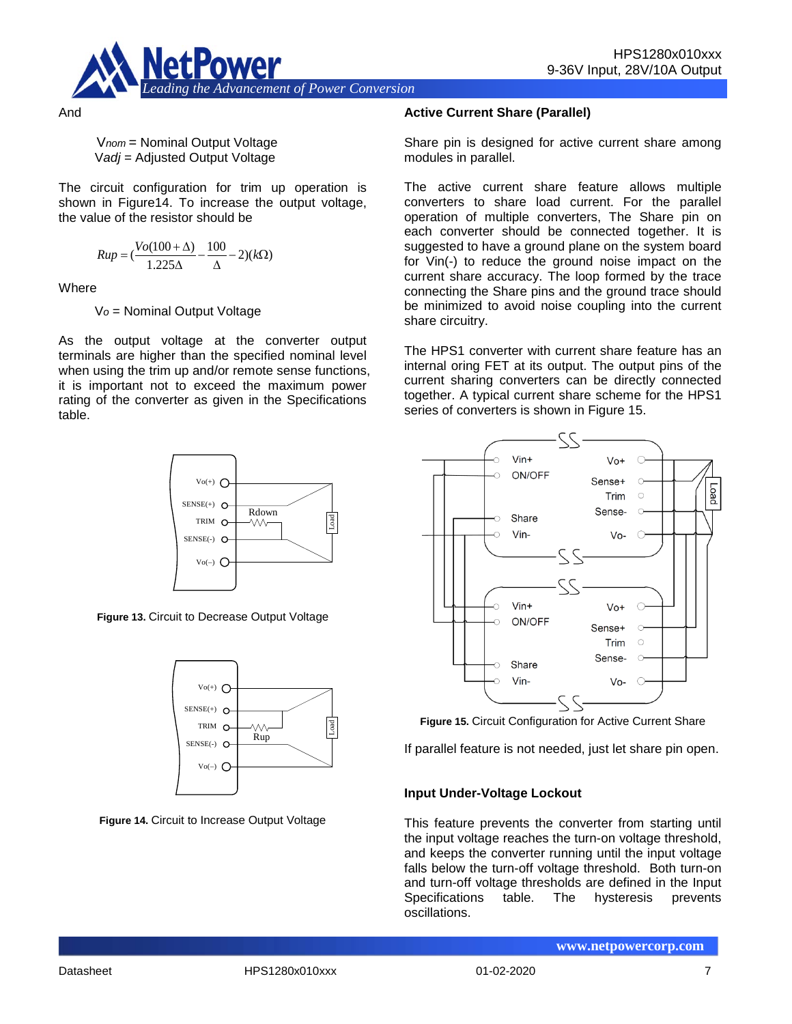

And

V*nom* = Nominal Output Voltage V*adj* = Adjusted Output Voltage

The circuit configuration for trim up operation is shown in Figure14. To increase the output voltage, the value of the resistor should be

$$
Rup = \left(\frac{Vo(100 + \Delta)}{1.225\Delta} - \frac{100}{\Delta} - 2\right)(k\Omega)
$$

**Where** 

V*o* = Nominal Output Voltage

As the output voltage at the converter output terminals are higher than the specified nominal level when using the trim up and/or remote sense functions, it is important not to exceed the maximum power rating of the converter as given in the Specifications table.



**Figure 13.** Circuit to Decrease Output Voltage



**Figure 14.** Circuit to Increase Output Voltage

## **Active Current Share (Parallel)**

Share pin is designed for active current share among modules in parallel.

The active current share feature allows multiple converters to share load current. For the parallel operation of multiple converters, The Share pin on each converter should be connected together. It is suggested to have a ground plane on the system board for Vin(-) to reduce the ground noise impact on the current share accuracy. The loop formed by the trace connecting the Share pins and the ground trace should be minimized to avoid noise coupling into the current share circuitry.

The HPS1 converter with current share feature has an internal oring FET at its output. The output pins of the current sharing converters can be directly connected together. A typical current share scheme for the HPS1 series of converters is shown in Figure 15.



**Figure 15.** Circuit Configuration for Active Current Share

If parallel feature is not needed, just let share pin open.

## **Input Under-Voltage Lockout**

This feature prevents the converter from starting until the input voltage reaches the turn-on voltage threshold, and keeps the converter running until the input voltage falls below the turn-off voltage threshold. Both turn-on and turn-off voltage thresholds are defined in the Input<br>Specifications table. The hysteresis prevents table. The hysteresis prevents oscillations.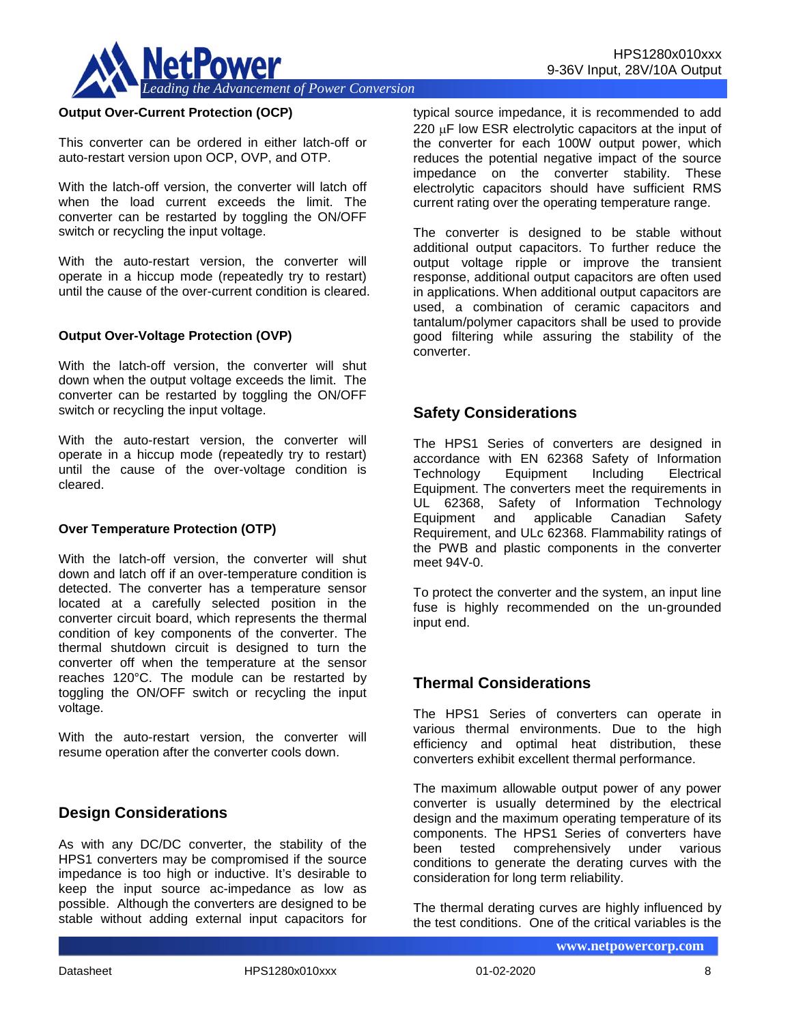

#### **Output Over-Current Protection (OCP)**

This converter can be ordered in either latch-off or auto-restart version upon OCP, OVP, and OTP.

With the latch-off version, the converter will latch off when the load current exceeds the limit. The converter can be restarted by toggling the ON/OFF switch or recycling the input voltage.

With the auto-restart version, the converter will operate in a hiccup mode (repeatedly try to restart) until the cause of the over-current condition is cleared.

#### **Output Over-Voltage Protection (OVP)**

With the latch-off version, the converter will shut down when the output voltage exceeds the limit. The converter can be restarted by toggling the ON/OFF switch or recycling the input voltage.

With the auto-restart version, the converter will operate in a hiccup mode (repeatedly try to restart) until the cause of the over-voltage condition is cleared.

#### **Over Temperature Protection (OTP)**

With the latch-off version, the converter will shut down and latch off if an over-temperature condition is detected. The converter has a temperature sensor located at a carefully selected position in the converter circuit board, which represents the thermal condition of key components of the converter. The thermal shutdown circuit is designed to turn the converter off when the temperature at the sensor reaches 120°C. The module can be restarted by toggling the ON/OFF switch or recycling the input voltage.

With the auto-restart version, the converter will resume operation after the converter cools down.

## **Design Considerations**

As with any DC/DC converter, the stability of the HPS1 converters may be compromised if the source impedance is too high or inductive. It's desirable to keep the input source ac-impedance as low as possible. Although the converters are designed to be stable without adding external input capacitors for typical source impedance, it is recommended to add 220 µF low ESR electrolytic capacitors at the input of the converter for each 100W output power, which reduces the potential negative impact of the source impedance on the converter stability. These electrolytic capacitors should have sufficient RMS current rating over the operating temperature range.

The converter is designed to be stable without additional output capacitors. To further reduce the output voltage ripple or improve the transient response, additional output capacitors are often used in applications. When additional output capacitors are used, a combination of ceramic capacitors and tantalum/polymer capacitors shall be used to provide good filtering while assuring the stability of the converter.

## **Safety Considerations**

The HPS1 Series of converters are designed in accordance with EN 62368 Safety of Information Technology Equipment Including Electrical Equipment. The converters meet the requirements in UL 62368, Safety of Information Technology Equipment and applicable Canadian Safety Requirement, and ULc 62368. Flammability ratings of the PWB and plastic components in the converter meet 94V-0.

To protect the converter and the system, an input line fuse is highly recommended on the un-grounded input end.

## **Thermal Considerations**

The HPS1 Series of converters can operate in various thermal environments. Due to the high efficiency and optimal heat distribution, these converters exhibit excellent thermal performance.

The maximum allowable output power of any power converter is usually determined by the electrical design and the maximum operating temperature of its components. The HPS1 Series of converters have tested comprehensively under various conditions to generate the derating curves with the consideration for long term reliability.

The thermal derating curves are highly influenced by the test conditions. One of the critical variables is the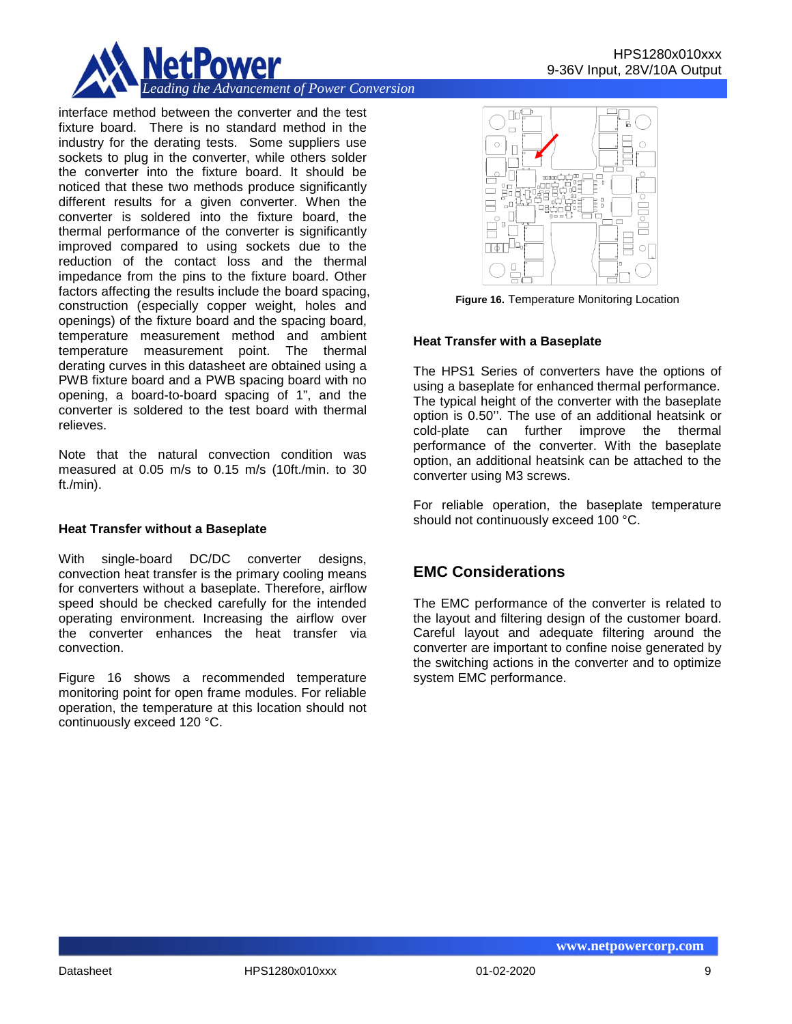

interface method between the converter and the test fixture board. There is no standard method in the industry for the derating tests. Some suppliers use sockets to plug in the converter, while others solder the converter into the fixture board. It should be noticed that these two methods produce significantly different results for a given converter. When the converter is soldered into the fixture board, the thermal performance of the converter is significantly improved compared to using sockets due to the reduction of the contact loss and the thermal impedance from the pins to the fixture board. Other factors affecting the results include the board spacing, construction (especially copper weight, holes and openings) of the fixture board and the spacing board, temperature measurement method and ambient temperature measurement point. The thermal derating curves in this datasheet are obtained using a PWB fixture board and a PWB spacing board with no opening, a board-to-board spacing of 1", and the converter is soldered to the test board with thermal relieves.

Note that the natural convection condition was measured at 0.05 m/s to 0.15 m/s (10ft./min. to 30 ft./min).

#### **Heat Transfer without a Baseplate**

With single-board DC/DC converter designs, convection heat transfer is the primary cooling means for converters without a baseplate. Therefore, airflow speed should be checked carefully for the intended operating environment. Increasing the airflow over the converter enhances the heat transfer via convection.

Figure 16 shows a recommended temperature monitoring point for open frame modules. For reliable operation, the temperature at this location should not continuously exceed 120 °C.



**Figure 16.** Temperature Monitoring Location

## **Heat Transfer with a Baseplate**

The HPS1 Series of converters have the options of using a baseplate for enhanced thermal performance. The typical height of the converter with the baseplate option is 0.50''. The use of an additional heatsink or cold-plate can further improve the thermal performance of the converter. With the baseplate option, an additional heatsink can be attached to the converter using M3 screws.

For reliable operation, the baseplate temperature should not continuously exceed 100 °C.

# **EMC Considerations**

The EMC performance of the converter is related to the layout and filtering design of the customer board. Careful layout and adequate filtering around the converter are important to confine noise generated by the switching actions in the converter and to optimize system EMC performance.